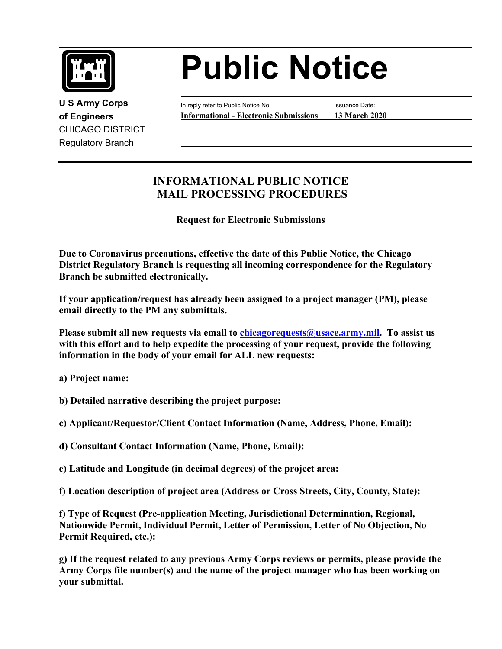

CHICAGO DISTRICT Regulatory Branch

## **Public Notice**

 **of Engineers Informational - Electronic Submissions 13 March 2020 U S Army Corps In reply refer to Public Notice No.** Issuance Date:

## **INFORMATIONAL PUBLIC NOTICE MAIL PROCESSING PROCEDURES**

**Request for Electronic Submissions** 

**Due to Coronavirus precautions, effective the date of this Public Notice, the Chicago District Regulatory Branch is requesting all incoming correspondence for the Regulatory Branch be submitted electronically.** 

**If your application/request has already been assigned to a project manager (PM), please email directly to the PM any submittals.** 

**Please submit all new requests via email to [chicagorequests@usace.army.mil](mailto:chicagorequests@usace.army.mil). To assist us with this effort and to help expedite the processing of your request, provide the following information in the body of your email for ALL new requests:** 

**a) Project name:** 

- **b) Detailed narrative describing the project purpose:**
- **c) Applicant/Requestor/Client Contact Information (Name, Address, Phone, Email):**
- **d) Consultant Contact Information (Name, Phone, Email):**
- **e) Latitude and Longitude (in decimal degrees) of the project area:**
- **f) Location description of project area (Address or Cross Streets, City, County, State):**

**f) Type of Request (Pre-application Meeting, Jurisdictional Determination, Regional, Nationwide Permit, Individual Permit, Letter of Permission, Letter of No Objection, No Permit Required, etc.):** 

**g) If the request related to any previous Army Corps reviews or permits, please provide the Army Corps file number(s) and the name of the project manager who has been working on your submittal.**